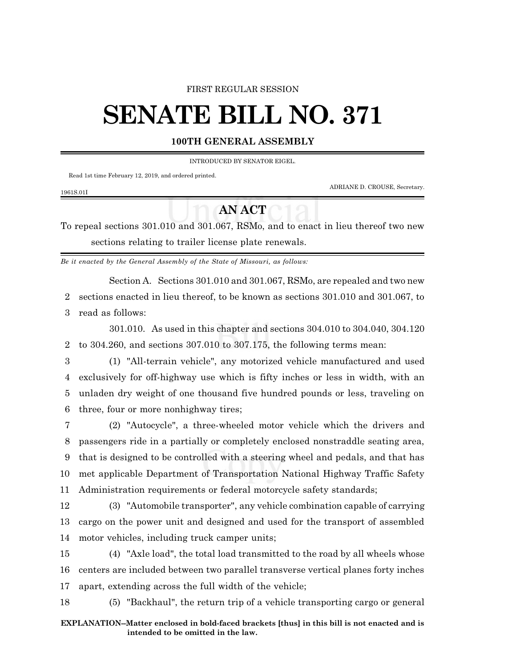### FIRST REGULAR SESSION

# **SENATE BILL NO. 371**

## **100TH GENERAL ASSEMBLY**

INTRODUCED BY SENATOR EIGEL.

Read 1st time February 12, 2019, and ordered printed.

ADRIANE D. CROUSE, Secretary.

#### 1961S.01I

## **AN ACT**

To repeal sections 301.010 and 301.067, RSMo, and to enact in lieu thereof two new sections relating to trailer license plate renewals.

*Be it enacted by the General Assembly of the State of Missouri, as follows:*

Section A. Sections 301.010 and 301.067, RSMo, are repealed and two new

2 sections enacted in lieu thereof, to be known as sections 301.010 and 301.067, to 3 read as follows:

301.010. As used in this chapter and sections 304.010 to 304.040, 304.120 2 to 304.260, and sections 307.010 to 307.175, the following terms mean:

 (1) "All-terrain vehicle", any motorized vehicle manufactured and used exclusively for off-highway use which is fifty inches or less in width, with an unladen dry weight of one thousand five hundred pounds or less, traveling on three, four or more nonhighway tires;

 (2) "Autocycle", a three-wheeled motor vehicle which the drivers and passengers ride in a partially or completely enclosed nonstraddle seating area, that is designed to be controlled with a steering wheel and pedals, and that has met applicable Department of Transportation National Highway Traffic Safety Administration requirements or federal motorcycle safety standards;

12 (3) "Automobile transporter", any vehicle combination capable of carrying 13 cargo on the power unit and designed and used for the transport of assembled 14 motor vehicles, including truck camper units;

15 (4) "Axle load", the total load transmitted to the road by all wheels whose 16 centers are included between two parallel transverse vertical planes forty inches 17 apart, extending across the full width of the vehicle;

18 (5) "Backhaul", the return trip of a vehicle transporting cargo or general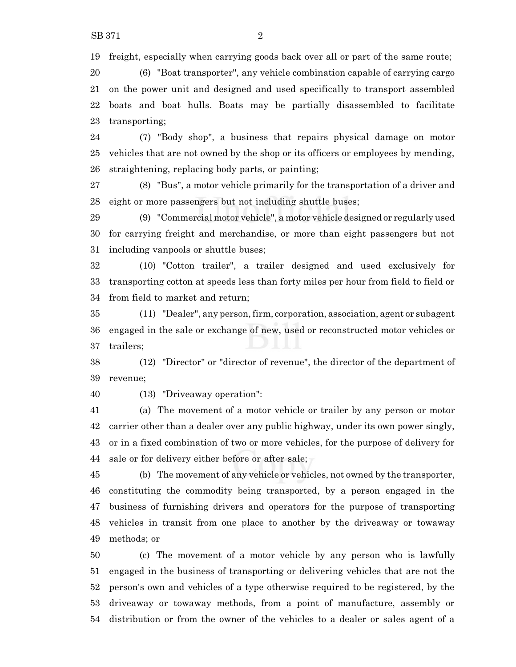freight, especially when carrying goods back over all or part of the same route;

 (6) "Boat transporter", any vehicle combination capable of carrying cargo on the power unit and designed and used specifically to transport assembled boats and boat hulls. Boats may be partially disassembled to facilitate transporting;

 (7) "Body shop", a business that repairs physical damage on motor vehicles that are not owned by the shop or its officers or employees by mending, straightening, replacing body parts, or painting;

 (8) "Bus", a motor vehicle primarily for the transportation of a driver and eight or more passengers but not including shuttle buses;

 (9) "Commercial motor vehicle", a motor vehicle designed or regularly used for carrying freight and merchandise, or more than eight passengers but not including vanpools or shuttle buses;

 (10) "Cotton trailer", a trailer designed and used exclusively for transporting cotton at speeds less than forty miles per hour from field to field or from field to market and return;

 (11) "Dealer", any person,firm, corporation, association, agent or subagent engaged in the sale or exchange of new, used or reconstructed motor vehicles or trailers;

 (12) "Director" or "director of revenue", the director of the department of revenue;

(13) "Driveaway operation":

 (a) The movement of a motor vehicle or trailer by any person or motor carrier other than a dealer over any public highway, under its own power singly, or in a fixed combination of two or more vehicles, for the purpose of delivery for sale or for delivery either before or after sale;

 (b) The movement of any vehicle or vehicles, not owned by the transporter, constituting the commodity being transported, by a person engaged in the business of furnishing drivers and operators for the purpose of transporting vehicles in transit from one place to another by the driveaway or towaway methods; or

 (c) The movement of a motor vehicle by any person who is lawfully engaged in the business of transporting or delivering vehicles that are not the person's own and vehicles of a type otherwise required to be registered, by the driveaway or towaway methods, from a point of manufacture, assembly or distribution or from the owner of the vehicles to a dealer or sales agent of a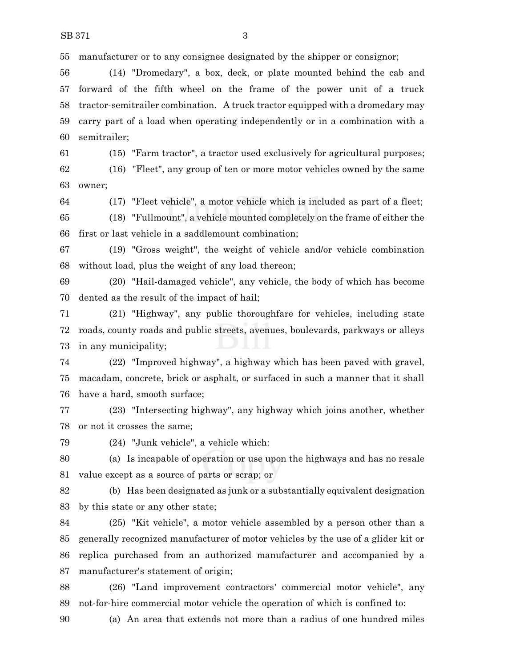manufacturer or to any consignee designated by the shipper or consignor;

 (14) "Dromedary", a box, deck, or plate mounted behind the cab and forward of the fifth wheel on the frame of the power unit of a truck tractor-semitrailer combination. A truck tractor equipped with a dromedary may carry part of a load when operating independently or in a combination with a semitrailer;

(15) "Farm tractor", a tractor used exclusively for agricultural purposes;

 (16) "Fleet", any group of ten or more motor vehicles owned by the same owner;

(17) "Fleet vehicle", a motor vehicle which is included as part of a fleet;

 (18) "Fullmount", a vehicle mounted completely on the frame of either the first or last vehicle in a saddlemount combination;

 (19) "Gross weight", the weight of vehicle and/or vehicle combination without load, plus the weight of any load thereon;

 (20) "Hail-damaged vehicle", any vehicle, the body of which has become dented as the result of the impact of hail;

 (21) "Highway", any public thoroughfare for vehicles, including state roads, county roads and public streets, avenues, boulevards, parkways or alleys in any municipality;

 (22) "Improved highway", a highway which has been paved with gravel, macadam, concrete, brick or asphalt, or surfaced in such a manner that it shall have a hard, smooth surface;

 (23) "Intersecting highway", any highway which joins another, whether or not it crosses the same;

(24) "Junk vehicle", a vehicle which:

 (a) Is incapable of operation or use upon the highways and has no resale value except as a source of parts or scrap; or

 (b) Has been designated as junk or a substantially equivalent designation by this state or any other state;

 (25) "Kit vehicle", a motor vehicle assembled by a person other than a generally recognized manufacturer of motor vehicles by the use of a glider kit or replica purchased from an authorized manufacturer and accompanied by a manufacturer's statement of origin;

 (26) "Land improvement contractors' commercial motor vehicle", any not-for-hire commercial motor vehicle the operation of which is confined to:

(a) An area that extends not more than a radius of one hundred miles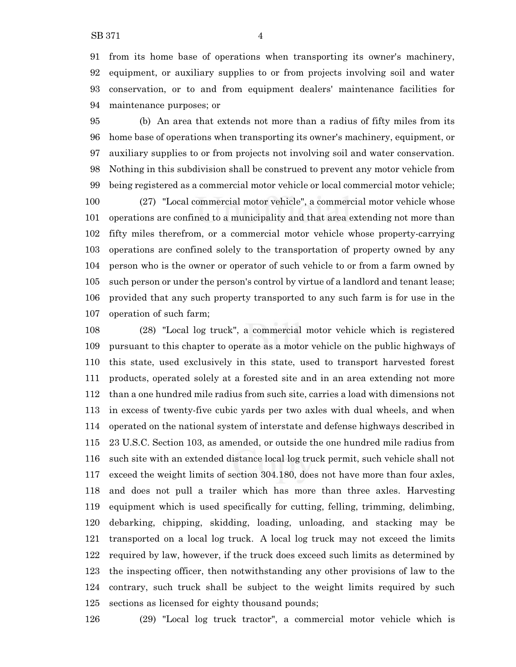from its home base of operations when transporting its owner's machinery, equipment, or auxiliary supplies to or from projects involving soil and water conservation, or to and from equipment dealers' maintenance facilities for maintenance purposes; or

 (b) An area that extends not more than a radius of fifty miles from its home base of operations when transporting its owner's machinery, equipment, or auxiliary supplies to or from projects not involving soil and water conservation. Nothing in this subdivision shall be construed to prevent any motor vehicle from being registered as a commercial motor vehicle or local commercial motor vehicle; (27) "Local commercial motor vehicle", a commercial motor vehicle whose operations are confined to a municipality and that area extending not more than fifty miles therefrom, or a commercial motor vehicle whose property-carrying operations are confined solely to the transportation of property owned by any person who is the owner or operator of such vehicle to or from a farm owned by such person or under the person's control by virtue of a landlord and tenant lease; provided that any such property transported to any such farm is for use in the operation of such farm;

 (28) "Local log truck", a commercial motor vehicle which is registered pursuant to this chapter to operate as a motor vehicle on the public highways of this state, used exclusively in this state, used to transport harvested forest products, operated solely at a forested site and in an area extending not more than a one hundred mile radius from such site, carries a load with dimensions not in excess of twenty-five cubic yards per two axles with dual wheels, and when operated on the national system of interstate and defense highways described in 23 U.S.C. Section 103, as amended, or outside the one hundred mile radius from such site with an extended distance local log truck permit, such vehicle shall not exceed the weight limits of section 304.180, does not have more than four axles, and does not pull a trailer which has more than three axles. Harvesting equipment which is used specifically for cutting, felling, trimming, delimbing, debarking, chipping, skidding, loading, unloading, and stacking may be transported on a local log truck. A local log truck may not exceed the limits required by law, however, if the truck does exceed such limits as determined by the inspecting officer, then notwithstanding any other provisions of law to the contrary, such truck shall be subject to the weight limits required by such sections as licensed for eighty thousand pounds;

(29) "Local log truck tractor", a commercial motor vehicle which is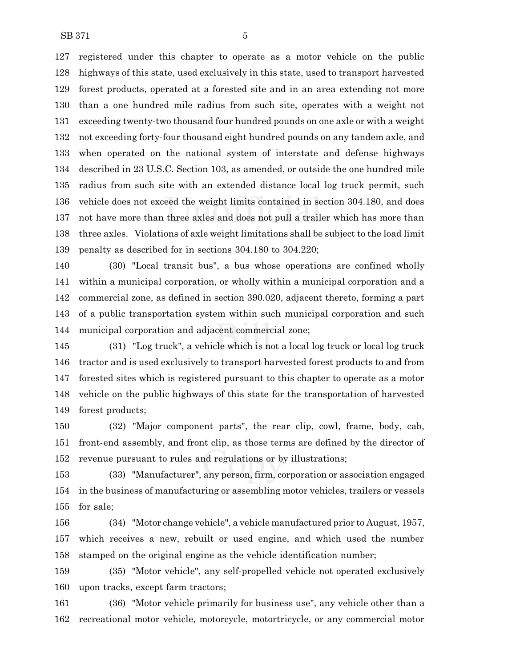registered under this chapter to operate as a motor vehicle on the public highways of this state, used exclusively in this state, used to transport harvested forest products, operated at a forested site and in an area extending not more than a one hundred mile radius from such site, operates with a weight not exceeding twenty-two thousand four hundred pounds on one axle or with a weight not exceeding forty-four thousand eight hundred pounds on any tandem axle, and when operated on the national system of interstate and defense highways described in 23 U.S.C. Section 103, as amended, or outside the one hundred mile radius from such site with an extended distance local log truck permit, such vehicle does not exceed the weight limits contained in section 304.180, and does not have more than three axles and does not pull a trailer which has more than three axles. Violations of axle weight limitations shall be subject to the load limit penalty as described for in sections 304.180 to 304.220;

 (30) "Local transit bus", a bus whose operations are confined wholly within a municipal corporation, or wholly within a municipal corporation and a commercial zone, as defined in section 390.020, adjacent thereto, forming a part of a public transportation system within such municipal corporation and such municipal corporation and adjacent commercial zone;

 (31) "Log truck", a vehicle which is not a local log truck or local log truck tractor and is used exclusively to transport harvested forest products to and from forested sites which is registered pursuant to this chapter to operate as a motor vehicle on the public highways of this state for the transportation of harvested forest products;

 (32) "Major component parts", the rear clip, cowl, frame, body, cab, front-end assembly, and front clip, as those terms are defined by the director of revenue pursuant to rules and regulations or by illustrations;

 (33) "Manufacturer", any person, firm, corporation or association engaged in the business of manufacturing or assembling motor vehicles, trailers or vessels for sale;

 (34) "Motor change vehicle", a vehicle manufactured prior to August, 1957, which receives a new, rebuilt or used engine, and which used the number stamped on the original engine as the vehicle identification number;

 (35) "Motor vehicle", any self-propelled vehicle not operated exclusively upon tracks, except farm tractors;

 (36) "Motor vehicle primarily for business use", any vehicle other than a recreational motor vehicle, motorcycle, motortricycle, or any commercial motor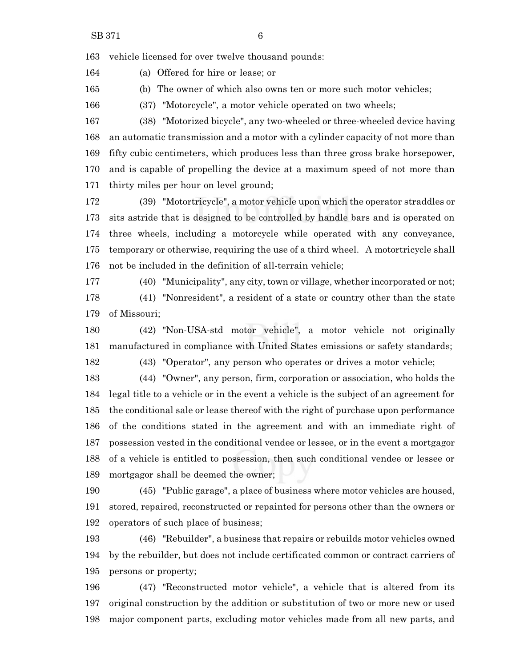vehicle licensed for over twelve thousand pounds:

(a) Offered for hire or lease; or

(b) The owner of which also owns ten or more such motor vehicles;

(37) "Motorcycle", a motor vehicle operated on two wheels;

 (38) "Motorized bicycle", any two-wheeled or three-wheeled device having an automatic transmission and a motor with a cylinder capacity of not more than fifty cubic centimeters, which produces less than three gross brake horsepower, and is capable of propelling the device at a maximum speed of not more than thirty miles per hour on level ground;

 (39) "Motortricycle", a motor vehicle upon which the operator straddles or sits astride that is designed to be controlled by handle bars and is operated on three wheels, including a motorcycle while operated with any conveyance, temporary or otherwise, requiring the use of a third wheel. A motortricycle shall not be included in the definition of all-terrain vehicle;

(40) "Municipality", any city, town or village, whether incorporated or not;

 (41) "Nonresident", a resident of a state or country other than the state of Missouri;

 (42) "Non-USA-std motor vehicle", a motor vehicle not originally manufactured in compliance with United States emissions or safety standards;

(43) "Operator", any person who operates or drives a motor vehicle;

 (44) "Owner", any person, firm, corporation or association, who holds the legal title to a vehicle or in the event a vehicle is the subject of an agreement for the conditional sale or lease thereof with the right of purchase upon performance of the conditions stated in the agreement and with an immediate right of possession vested in the conditional vendee or lessee, or in the event a mortgagor of a vehicle is entitled to possession, then such conditional vendee or lessee or mortgagor shall be deemed the owner;

 (45) "Public garage", a place of business where motor vehicles are housed, stored, repaired, reconstructed or repainted for persons other than the owners or operators of such place of business;

 (46) "Rebuilder", a business that repairs or rebuilds motor vehicles owned by the rebuilder, but does not include certificated common or contract carriers of persons or property;

 (47) "Reconstructed motor vehicle", a vehicle that is altered from its original construction by the addition or substitution of two or more new or used major component parts, excluding motor vehicles made from all new parts, and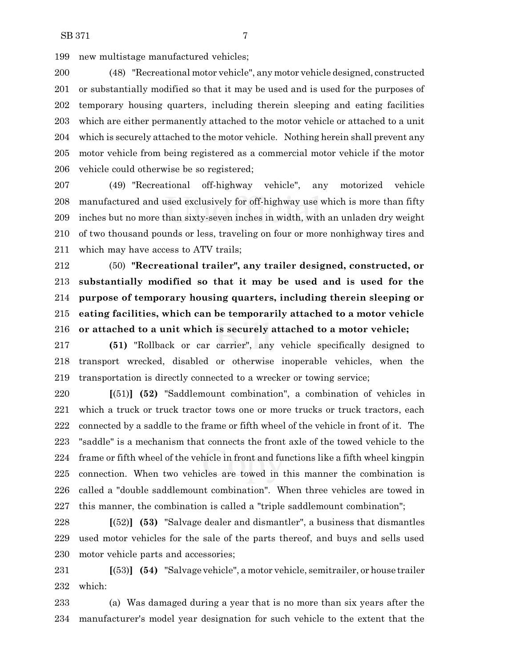new multistage manufactured vehicles;

 (48) "Recreational motor vehicle", any motor vehicle designed, constructed or substantially modified so that it may be used and is used for the purposes of temporary housing quarters, including therein sleeping and eating facilities which are either permanently attached to the motor vehicle or attached to a unit which is securely attached to the motor vehicle. Nothing herein shall prevent any motor vehicle from being registered as a commercial motor vehicle if the motor vehicle could otherwise be so registered;

 (49) "Recreational off-highway vehicle", any motorized vehicle manufactured and used exclusively for off-highway use which is more than fifty inches but no more than sixty-seven inches in width, with an unladen dry weight of two thousand pounds or less, traveling on four or more nonhighway tires and which may have access to ATV trails;

 (50) **"Recreational trailer", any trailer designed, constructed, or substantially modified so that it may be used and is used for the purpose of temporary housing quarters, including therein sleeping or eating facilities, which can be temporarily attached to a motor vehicle or attached to a unit which is securely attached to a motor vehicle;**

 **(51)** "Rollback or car carrier", any vehicle specifically designed to transport wrecked, disabled or otherwise inoperable vehicles, when the transportation is directly connected to a wrecker or towing service;

 **[**(51)**] (52)** "Saddlemount combination", a combination of vehicles in which a truck or truck tractor tows one or more trucks or truck tractors, each connected by a saddle to the frame or fifth wheel of the vehicle in front of it. The "saddle" is a mechanism that connects the front axle of the towed vehicle to the frame or fifth wheel of the vehicle in front and functions like a fifth wheel kingpin connection. When two vehicles are towed in this manner the combination is called a "double saddlemount combination". When three vehicles are towed in this manner, the combination is called a "triple saddlemount combination";

 **[**(52)**] (53)** "Salvage dealer and dismantler", a business that dismantles used motor vehicles for the sale of the parts thereof, and buys and sells used motor vehicle parts and accessories;

 **[**(53)**] (54)** "Salvage vehicle", a motor vehicle, semitrailer, or house trailer which:

 (a) Was damaged during a year that is no more than six years after the manufacturer's model year designation for such vehicle to the extent that the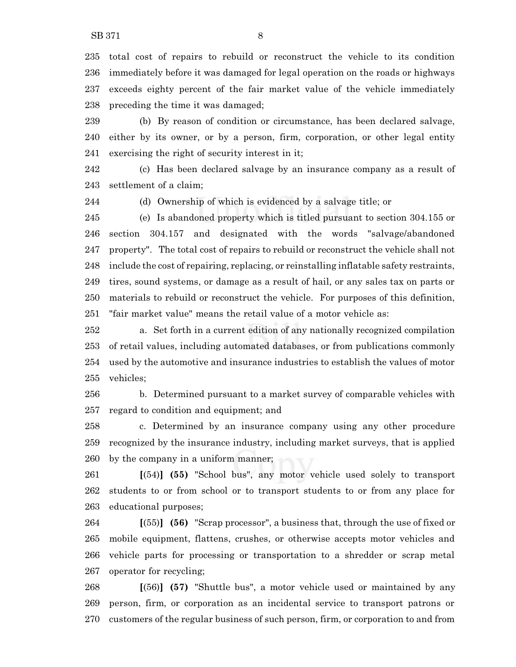total cost of repairs to rebuild or reconstruct the vehicle to its condition immediately before it was damaged for legal operation on the roads or highways exceeds eighty percent of the fair market value of the vehicle immediately preceding the time it was damaged;

 (b) By reason of condition or circumstance, has been declared salvage, either by its owner, or by a person, firm, corporation, or other legal entity exercising the right of security interest in it;

 (c) Has been declared salvage by an insurance company as a result of settlement of a claim;

(d) Ownership of which is evidenced by a salvage title; or

 (e) Is abandoned property which is titled pursuant to section 304.155 or section 304.157 and designated with the words "salvage/abandoned property". The total cost of repairs to rebuild or reconstruct the vehicle shall not include the cost of repairing, replacing, or reinstalling inflatable safety restraints, tires, sound systems, or damage as a result of hail, or any sales tax on parts or materials to rebuild or reconstruct the vehicle. For purposes of this definition, "fair market value" means the retail value of a motor vehicle as:

 a. Set forth in a current edition of any nationally recognized compilation of retail values, including automated databases, or from publications commonly used by the automotive and insurance industries to establish the values of motor vehicles;

 b. Determined pursuant to a market survey of comparable vehicles with regard to condition and equipment; and

 c. Determined by an insurance company using any other procedure recognized by the insurance industry, including market surveys, that is applied by the company in a uniform manner;

 **[**(54)**] (55)** "School bus", any motor vehicle used solely to transport students to or from school or to transport students to or from any place for educational purposes;

 **[**(55)**] (56)** "Scrap processor", a business that, through the use of fixed or mobile equipment, flattens, crushes, or otherwise accepts motor vehicles and vehicle parts for processing or transportation to a shredder or scrap metal operator for recycling;

 **[**(56)**] (57)** "Shuttle bus", a motor vehicle used or maintained by any person, firm, or corporation as an incidental service to transport patrons or customers of the regular business of such person, firm, or corporation to and from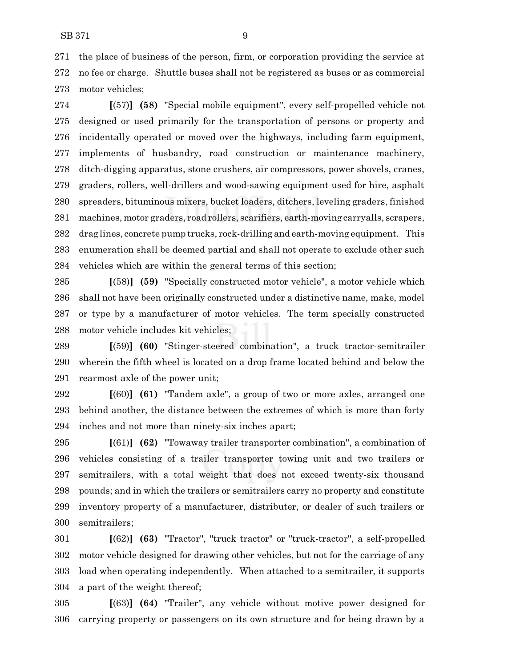the place of business of the person, firm, or corporation providing the service at no fee or charge. Shuttle buses shall not be registered as buses or as commercial motor vehicles;

 **[**(57)**] (58)** "Special mobile equipment", every self-propelled vehicle not designed or used primarily for the transportation of persons or property and incidentally operated or moved over the highways, including farm equipment, implements of husbandry, road construction or maintenance machinery, ditch-digging apparatus, stone crushers, air compressors, power shovels, cranes, graders, rollers, well-drillers and wood-sawing equipment used for hire, asphalt spreaders, bituminous mixers, bucket loaders, ditchers, leveling graders, finished machines, motor graders, road rollers, scarifiers, earth-moving carryalls, scrapers, drag lines, concrete pump trucks, rock-drilling and earth-moving equipment. This enumeration shall be deemed partial and shall not operate to exclude other such vehicles which are within the general terms of this section;

 **[**(58)**] (59)** "Specially constructed motor vehicle", a motor vehicle which shall not have been originally constructed under a distinctive name, make, model or type by a manufacturer of motor vehicles. The term specially constructed motor vehicle includes kit vehicles;

 **[**(59)**] (60)** "Stinger-steered combination", a truck tractor-semitrailer wherein the fifth wheel is located on a drop frame located behind and below the rearmost axle of the power unit;

 **[**(60)**] (61)** "Tandem axle", a group of two or more axles, arranged one behind another, the distance between the extremes of which is more than forty inches and not more than ninety-six inches apart;

 **[**(61)**] (62)** "Towaway trailer transporter combination", a combination of vehicles consisting of a trailer transporter towing unit and two trailers or semitrailers, with a total weight that does not exceed twenty-six thousand pounds; and in which the trailers or semitrailers carry no property and constitute inventory property of a manufacturer, distributer, or dealer of such trailers or semitrailers;

 **[**(62)**] (63)** "Tractor", "truck tractor" or "truck-tractor", a self-propelled motor vehicle designed for drawing other vehicles, but not for the carriage of any load when operating independently. When attached to a semitrailer, it supports a part of the weight thereof;

 **[**(63)**] (64)** "Trailer", any vehicle without motive power designed for carrying property or passengers on its own structure and for being drawn by a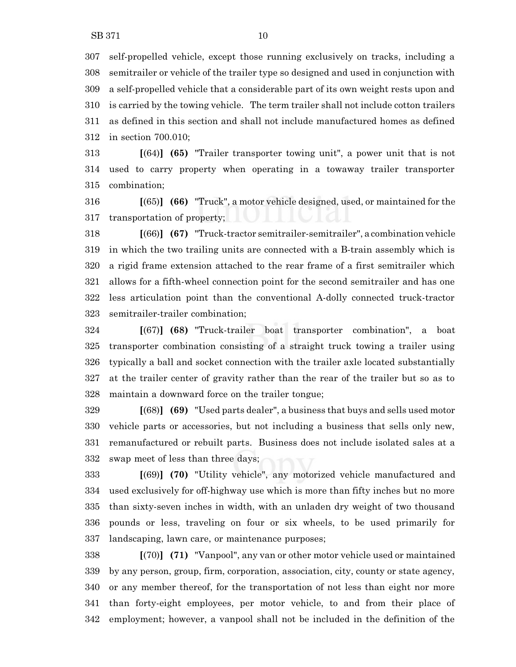self-propelled vehicle, except those running exclusively on tracks, including a semitrailer or vehicle of the trailer type so designed and used in conjunction with a self-propelled vehicle that a considerable part of its own weight rests upon and is carried by the towing vehicle. The term trailer shall not include cotton trailers as defined in this section and shall not include manufactured homes as defined in section 700.010;

 **[**(64)**] (65)** "Trailer transporter towing unit", a power unit that is not used to carry property when operating in a towaway trailer transporter combination;

 **[**(65)**] (66)** "Truck", a motor vehicle designed, used, or maintained for the transportation of property;

 **[**(66)**] (67)** "Truck-tractor semitrailer-semitrailer", a combination vehicle in which the two trailing units are connected with a B-train assembly which is a rigid frame extension attached to the rear frame of a first semitrailer which allows for a fifth-wheel connection point for the second semitrailer and has one less articulation point than the conventional A-dolly connected truck-tractor semitrailer-trailer combination;

 **[**(67)**] (68)** "Truck-trailer boat transporter combination", a boat transporter combination consisting of a straight truck towing a trailer using typically a ball and socket connection with the trailer axle located substantially at the trailer center of gravity rather than the rear of the trailer but so as to maintain a downward force on the trailer tongue;

 **[**(68)**] (69)** "Used parts dealer", a business that buys and sells used motor vehicle parts or accessories, but not including a business that sells only new, remanufactured or rebuilt parts. Business does not include isolated sales at a swap meet of less than three days;

 **[**(69)**] (70)** "Utility vehicle", any motorized vehicle manufactured and used exclusively for off-highway use which is more than fifty inches but no more than sixty-seven inches in width, with an unladen dry weight of two thousand pounds or less, traveling on four or six wheels, to be used primarily for landscaping, lawn care, or maintenance purposes;

 **[**(70)**] (71)** "Vanpool", any van or other motor vehicle used or maintained by any person, group, firm, corporation, association, city, county or state agency, or any member thereof, for the transportation of not less than eight nor more than forty-eight employees, per motor vehicle, to and from their place of employment; however, a vanpool shall not be included in the definition of the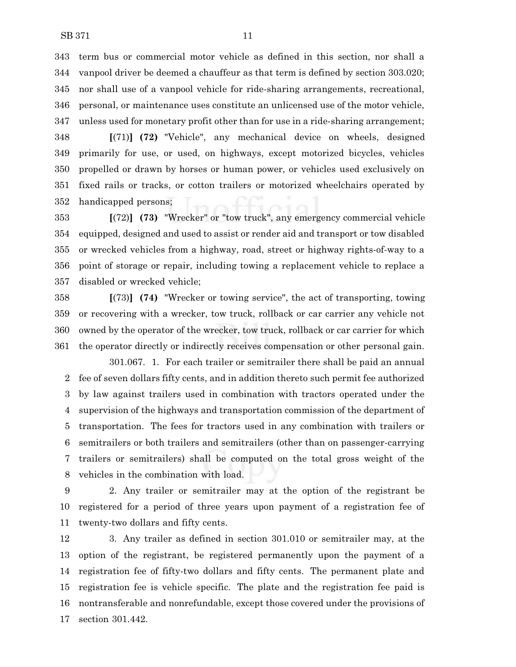term bus or commercial motor vehicle as defined in this section, nor shall a vanpool driver be deemed a chauffeur as that term is defined by section 303.020; nor shall use of a vanpool vehicle for ride-sharing arrangements, recreational, personal, or maintenance uses constitute an unlicensed use of the motor vehicle, unless used for monetary profit other than for use in a ride-sharing arrangement;

 **[**(71)**] (72)** "Vehicle", any mechanical device on wheels, designed primarily for use, or used, on highways, except motorized bicycles, vehicles propelled or drawn by horses or human power, or vehicles used exclusively on fixed rails or tracks, or cotton trailers or motorized wheelchairs operated by handicapped persons;

 **[**(72)**] (73)** "Wrecker" or "tow truck", any emergency commercial vehicle equipped, designed and used to assist or render aid and transport or tow disabled or wrecked vehicles from a highway, road, street or highway rights-of-way to a point of storage or repair, including towing a replacement vehicle to replace a disabled or wrecked vehicle;

 **[**(73)**] (74)** "Wrecker or towing service", the act of transporting, towing or recovering with a wrecker, tow truck, rollback or car carrier any vehicle not owned by the operator of the wrecker, tow truck, rollback or car carrier for which the operator directly or indirectly receives compensation or other personal gain.

301.067. 1. For each trailer or semitrailer there shall be paid an annual fee of seven dollars fifty cents, and in addition thereto such permit fee authorized by law against trailers used in combination with tractors operated under the supervision of the highways and transportation commission of the department of transportation. The fees for tractors used in any combination with trailers or semitrailers or both trailers and semitrailers (other than on passenger-carrying trailers or semitrailers) shall be computed on the total gross weight of the vehicles in the combination with load.

 2. Any trailer or semitrailer may at the option of the registrant be registered for a period of three years upon payment of a registration fee of twenty-two dollars and fifty cents.

 3. Any trailer as defined in section 301.010 or semitrailer may, at the option of the registrant, be registered permanently upon the payment of a registration fee of fifty-two dollars and fifty cents. The permanent plate and registration fee is vehicle specific. The plate and the registration fee paid is nontransferable and nonrefundable, except those covered under the provisions of section 301.442.